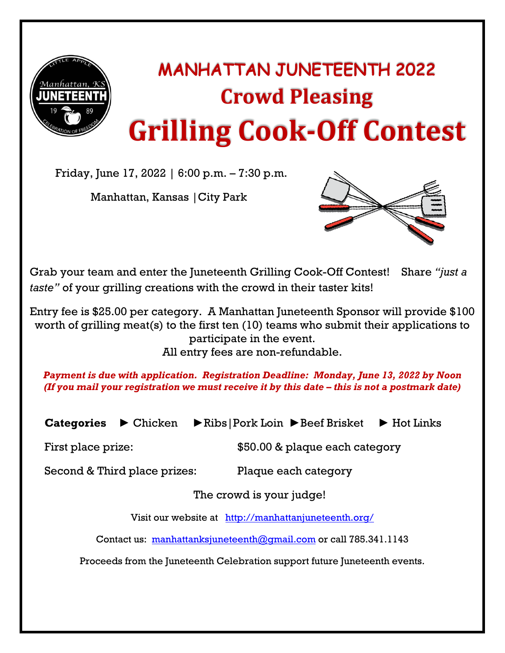

## MANHATTAN JUNETEENTH 2022 **Crowd Pleasing Grilling Cook-Off Contest**

Friday, June 17, 2022 | 6:00 p.m. – 7:30 p.m.

Manhattan, Kansas |City Park



Grab your team and enter the Juneteenth Grilling Cook-Off Contest! Share *"just a taste"* of your grilling creations with the crowd in their taster kits!

Entry fee is \$25.00 per category. A Manhattan Juneteenth Sponsor will provide \$100 worth of grilling meat(s) to the first ten (10) teams who submit their applications to participate in the event.

All entry fees are non-refundable.

*Payment is due with application. Registration Deadline: Monday, June 13, 2022 by Noon (If you mail your registration we must receive it by this date – this is not a postmark date)*

**Categories** ► Chicken ►Ribs|Pork Loin ►Beef Brisket ► Hot Links

First place prize:  $$50.00 \&$  plaque each category

Second & Third place prizes: Plaque each category

The crowd is your judge!

Visit our website at http://manhattanjuneteenth.org/

Contact us: manhattanksjuneteenth@gmail.com or call 785.341.1143

Proceeds from the Juneteenth Celebration support future Juneteenth events.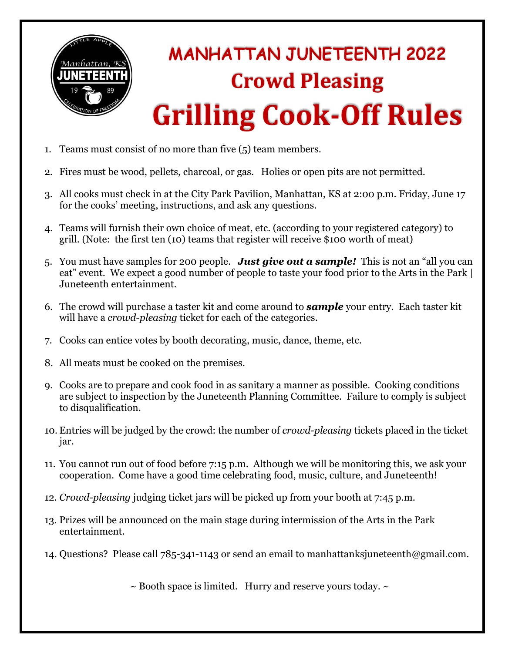

## MANHATTAN JUNETEENTH 2022 **Crowd Pleasing Grilling Cook-Off Rules**

- 1. Teams must consist of no more than five (5) team members.
- 2. Fires must be wood, pellets, charcoal, or gas. Holies or open pits are not permitted.
- 3. All cooks must check in at the City Park Pavilion, Manhattan, KS at 2:00 p.m. Friday, June 17 for the cooks' meeting, instructions, and ask any questions.
- 4. Teams will furnish their own choice of meat, etc. (according to your registered category) to grill. (Note: the first ten (10) teams that register will receive \$100 worth of meat)
- 5. You must have samples for 200 people. *Just give out a sample!* This is not an "all you can eat" event. We expect a good number of people to taste your food prior to the Arts in the Park  $\vert$ Juneteenth entertainment.
- 6. The crowd will purchase a taster kit and come around to *sample* your entry. Each taster kit will have a *crowd-pleasing* ticket for each of the categories.
- 7. Cooks can entice votes by booth decorating, music, dance, theme, etc.
- 8. All meats must be cooked on the premises.
- 9. Cooks are to prepare and cook food in as sanitary a manner as possible. Cooking conditions are subject to inspection by the Juneteenth Planning Committee. Failure to comply is subject to disqualification.
- 10. Entries will be judged by the crowd: the number of *crowd-pleasing* tickets placed in the ticket jar.
- 11. You cannot run out of food before 7:15 p.m. Although we will be monitoring this, we ask your cooperation. Come have a good time celebrating food, music, culture, and Juneteenth!
- 12. *Crowd-pleasing* judging ticket jars will be picked up from your booth at 7:45 p.m.
- 13. Prizes will be announced on the main stage during intermission of the Arts in the Park entertainment.
- 14. Questions? Please call 785-341-1143 or send an email to manhattanksjuneteenth@gmail.com.

 $\sim$  Booth space is limited. Hurry and reserve yours today.  $\sim$